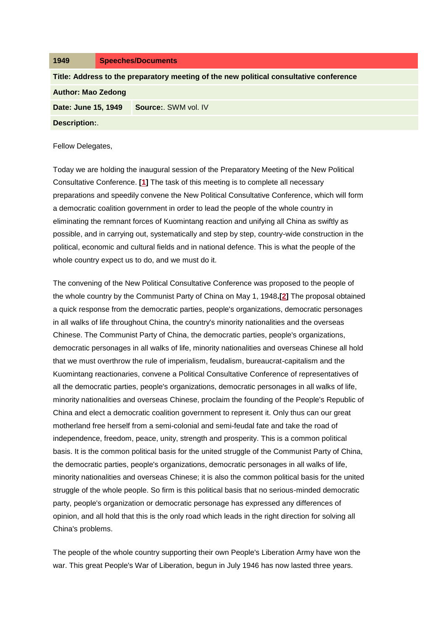| 1949                                                                                   | <b>Speeches/Documents</b>  |
|----------------------------------------------------------------------------------------|----------------------------|
| Title: Address to the preparatory meeting of the new political consultative conference |                            |
| <b>Author: Mao Zedong</b>                                                              |                            |
| Date: June 15, 1949                                                                    | <b>Source:</b> SWM vol. IV |
| <b>Description:.</b>                                                                   |                            |

Fellow Delegates,

Today we are holding the inaugural session of the Preparatory Meeting of the New Political Consultative Conference. **[\[1\]](http://www.marxists.org/reference/archive/mao/selected-works/volume-4/mswv4_64.htm#bm1#bm1)** The task of this meeting is to complete all necessary preparations and speedily convene the New Political Consultative Conference, which will form a democratic coalition government in order to lead the people of the whole country in eliminating the remnant forces of Kuomintang reaction and unifying all China as swiftly as possible, and in carrying out, systematically and step by step, country-wide construction in the political, economic and cultural fields and in national defence. This is what the people of the whole country expect us to do, and we must do it.

The convening of the New Political Consultative Conference was proposed to the people of the whole country by the Communist Party of China on May 1, 1948**.[\[2\]](http://www.marxists.org/reference/archive/mao/selected-works/volume-4/mswv4_64.htm#bm2#bm2)** The proposal obtained a quick response from the democratic parties, people's organizations, democratic personages in all walks of life throughout China, the country's minority nationalities and the overseas Chinese. The Communist Party of China, the democratic parties, people's organizations, democratic personages in all walks of life, minority nationalities and overseas Chinese all hold that we must overthrow the rule of imperialism, feudalism, bureaucrat-capitalism and the Kuomintang reactionaries, convene a Political Consultative Conference of representatives of all the democratic parties, people's organizations, democratic personages in all walks of life, minority nationalities and overseas Chinese, proclaim the founding of the People's Republic of China and elect a democratic coalition government to represent it. Only thus can our great motherland free herself from a semi-colonial and semi-feudal fate and take the road of independence, freedom, peace, unity, strength and prosperity. This is a common political basis. It is the common political basis for the united struggle of the Communist Party of China, the democratic parties, people's organizations, democratic personages in all walks of life, minority nationalities and overseas Chinese; it is also the common political basis for the united struggle of the whole people. So firm is this political basis that no serious-minded democratic party, people's organization or democratic personage has expressed any differences of opinion, and all hold that this is the only road which leads in the right direction for solving all China's problems.

The people of the whole country supporting their own People's Liberation Army have won the war. This great People's War of Liberation, begun in July 1946 has now lasted three years.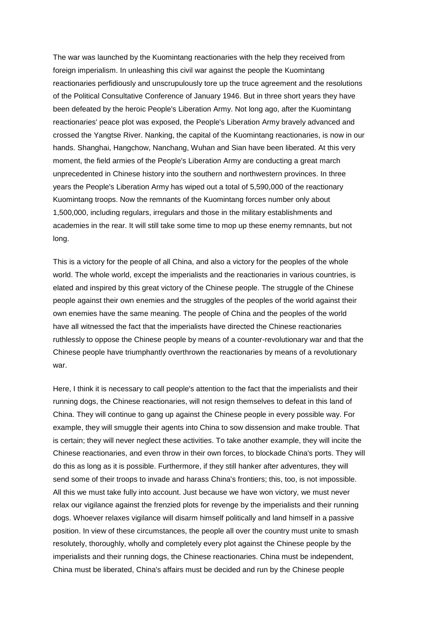The war was launched by the Kuomintang reactionaries with the help they received from foreign imperialism. In unleashing this civil war against the people the Kuomintang reactionaries perfidiously and unscrupulously tore up the truce agreement and the resolutions of the Political Consultative Conference of January 1946. But in three short years they have been defeated by the heroic People's Liberation Army. Not long ago, after the Kuomintang reactionaries' peace plot was exposed, the People's Liberation Army bravely advanced and crossed the Yangtse River. Nanking, the capital of the Kuomintang reactionaries, is now in our hands. Shanghai, Hangchow, Nanchang, Wuhan and Sian have been liberated. At this very moment, the field armies of the People's Liberation Army are conducting a great march unprecedented in Chinese history into the southern and northwestern provinces. In three years the People's Liberation Army has wiped out a total of 5,590,000 of the reactionary Kuomintang troops. Now the remnants of the Kuomintang forces number only about 1,500,000, including regulars, irregulars and those in the military establishments and academies in the rear. It will still take some time to mop up these enemy remnants, but not long.

This is a victory for the people of all China, and also a victory for the peoples of the whole world. The whole world, except the imperialists and the reactionaries in various countries, is elated and inspired by this great victory of the Chinese people. The struggle of the Chinese people against their own enemies and the struggles of the peoples of the world against their own enemies have the same meaning. The people of China and the peoples of the world have all witnessed the fact that the imperialists have directed the Chinese reactionaries ruthlessly to oppose the Chinese people by means of a counter-revolutionary war and that the Chinese people have triumphantly overthrown the reactionaries by means of a revolutionary war.

Here, I think it is necessary to call people's attention to the fact that the imperialists and their running dogs, the Chinese reactionaries, will not resign themselves to defeat in this land of China. They will continue to gang up against the Chinese people in every possible way. For example, they will smuggle their agents into China to sow dissension and make trouble. That is certain; they will never neglect these activities. To take another example, they will incite the Chinese reactionaries, and even throw in their own forces, to blockade China's ports. They will do this as long as it is possible. Furthermore, if they still hanker after adventures, they will send some of their troops to invade and harass China's frontiers; this, too, is not impossible. All this we must take fully into account. Just because we have won victory, we must never relax our vigilance against the frenzied plots for revenge by the imperialists and their running dogs. Whoever relaxes vigilance will disarm himself politically and land himself in a passive position. In view of these circumstances, the people all over the country must unite to smash resolutely, thoroughly, wholly and completely every plot against the Chinese people by the imperialists and their running dogs, the Chinese reactionaries. China must be independent, China must be liberated, China's affairs must be decided and run by the Chinese people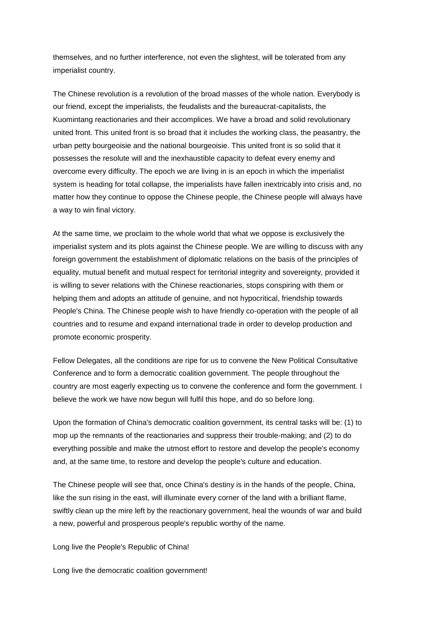themselves, and no further interference, not even the slightest, will be tolerated from any imperialist country.

The Chinese revolution is a revolution of the broad masses of the whole nation. Everybody is our friend, except the imperialists, the feudalists and the bureaucrat-capitalists, the Kuomintang reactionaries and their accomplices. We have a broad and solid revolutionary united front. This united front is so broad that it includes the working class, the peasantry, the urban petty bourgeoisie and the national bourgeoisie. This united front is so solid that it possesses the resolute will and the inexhaustible capacity to defeat every enemy and overcome every difficulty. The epoch we are living in is an epoch in which the imperialist system is heading for total collapse, the imperialists have fallen inextricably into crisis and, no matter how they continue to oppose the Chinese people, the Chinese people will always have a way to win final victory.

At the same time, we proclaim to the whole world that what we oppose is exclusively the imperialist system and its plots against the Chinese people. We are willing to discuss with any foreign government the establishment of diplomatic relations on the basis of the principles of equality, mutual benefit and mutual respect for territorial integrity and sovereignty, provided it is willing to sever relations with the Chinese reactionaries, stops conspiring with them or helping them and adopts an attitude of genuine, and not hypocritical, friendship towards People's China. The Chinese people wish to have friendly co-operation with the people of all countries and to resume and expand international trade in order to develop production and promote economic prosperity.

Fellow Delegates, all the conditions are ripe for us to convene the New Political Consultative Conference and to form a democratic coalition government. The people throughout the country are most eagerly expecting us to convene the conference and form the government. I believe the work we have now begun will fulfil this hope, and do so before long.

Upon the formation of China's democratic coalition government, its central tasks will be: (1) to mop up the remnants of the reactionaries and suppress their trouble-making; and (2) to do everything possible and make the utmost effort to restore and develop the people's economy and, at the same time, to restore and develop the people's culture and education.

The Chinese people will see that, once China's destiny is in the hands of the people, China, like the sun rising in the east, will illuminate every corner of the land with a brilliant flame, swiftly clean up the mire left by the reactionary government, heal the wounds of war and build a new, powerful and prosperous people's republic worthy of the name.

Long live the People's Republic of China!

Long live the democratic coalition government!